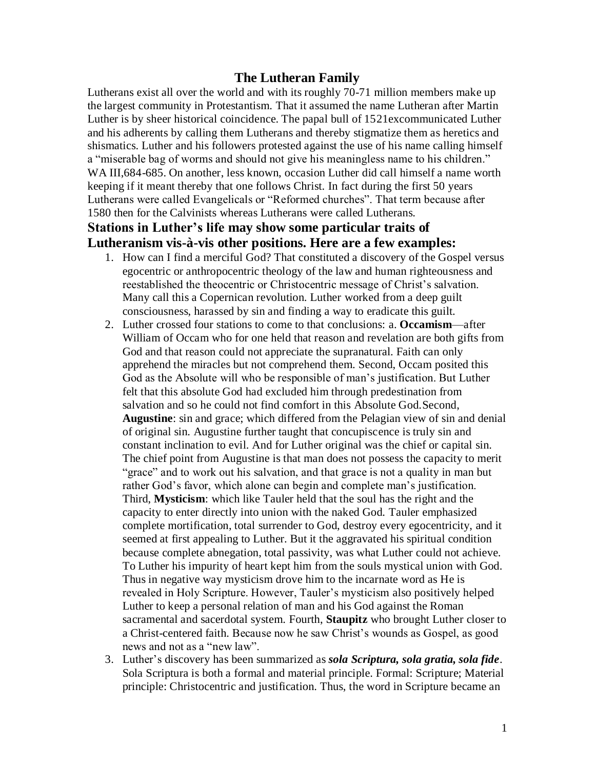## **The Lutheran Family**

Lutherans exist all over the world and with its roughly 70-71 million members make up the largest community in Protestantism. That it assumed the name Lutheran after Martin Luther is by sheer historical coincidence. The papal bull of 1521excommunicated Luther and his adherents by calling them Lutherans and thereby stigmatize them as heretics and shismatics. Luther and his followers protested against the use of his name calling himself a "miserable bag of worms and should not give his meaningless name to his children." WA III,684-685. On another, less known, occasion Luther did call himself a name worth keeping if it meant thereby that one follows Christ. In fact during the first 50 years Lutherans were called Evangelicals or "Reformed churches". That term because after 1580 then for the Calvinists whereas Lutherans were called Lutherans.

# **Stations in Luther's life may show some particular traits of Lutheranism vis-à-vis other positions. Here are a few examples:**

- 1. How can I find a merciful God? That constituted a discovery of the Gospel versus egocentric or anthropocentric theology of the law and human righteousness and reestablished the theocentric or Christocentric message of Christ's salvation. Many call this a Copernican revolution. Luther worked from a deep guilt consciousness, harassed by sin and finding a way to eradicate this guilt.
- 2. Luther crossed four stations to come to that conclusions: a. **Occamism**—after William of Occam who for one held that reason and revelation are both gifts from God and that reason could not appreciate the supranatural. Faith can only apprehend the miracles but not comprehend them. Second, Occam posited this God as the Absolute will who be responsible of man's justification. But Luther felt that this absolute God had excluded him through predestination from salvation and so he could not find comfort in this Absolute God.Second, **Augustine**: sin and grace; which differed from the Pelagian view of sin and denial of original sin. Augustine further taught that concupiscence is truly sin and constant inclination to evil. And for Luther original was the chief or capital sin. The chief point from Augustine is that man does not possess the capacity to merit ―grace‖ and to work out his salvation, and that grace is not a quality in man but rather God's favor, which alone can begin and complete man's justification. Third, **Mysticism**: which like Tauler held that the soul has the right and the capacity to enter directly into union with the naked God. Tauler emphasized complete mortification, total surrender to God, destroy every egocentricity, and it seemed at first appealing to Luther. But it the aggravated his spiritual condition because complete abnegation, total passivity, was what Luther could not achieve. To Luther his impurity of heart kept him from the souls mystical union with God. Thus in negative way mysticism drove him to the incarnate word as He is revealed in Holy Scripture. However, Tauler's mysticism also positively helped Luther to keep a personal relation of man and his God against the Roman sacramental and sacerdotal system. Fourth, **Staupitz** who brought Luther closer to a Christ-centered faith. Because now he saw Christ's wounds as Gospel, as good news and not as a "new law".
- 3. Luther's discovery has been summarized as *sola Scriptura, sola gratia, sola fide*. Sola Scriptura is both a formal and material principle. Formal: Scripture; Material principle: Christocentric and justification. Thus, the word in Scripture became an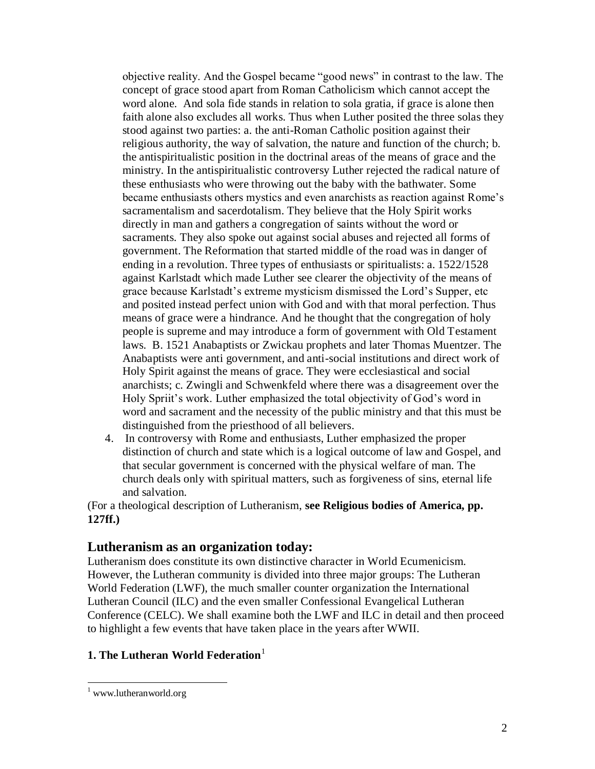objective reality. And the Gospel became "good news" in contrast to the law. The concept of grace stood apart from Roman Catholicism which cannot accept the word alone. And sola fide stands in relation to sola gratia, if grace is alone then faith alone also excludes all works. Thus when Luther posited the three solas they stood against two parties: a. the anti-Roman Catholic position against their religious authority, the way of salvation, the nature and function of the church; b. the antispiritualistic position in the doctrinal areas of the means of grace and the ministry. In the antispiritualistic controversy Luther rejected the radical nature of these enthusiasts who were throwing out the baby with the bathwater. Some became enthusiasts others mystics and even anarchists as reaction against Rome's sacramentalism and sacerdotalism. They believe that the Holy Spirit works directly in man and gathers a congregation of saints without the word or sacraments. They also spoke out against social abuses and rejected all forms of government. The Reformation that started middle of the road was in danger of ending in a revolution. Three types of enthusiasts or spiritualists: a. 1522/1528 against Karlstadt which made Luther see clearer the objectivity of the means of grace because Karlstadt's extreme mysticism dismissed the Lord's Supper, etc and posited instead perfect union with God and with that moral perfection. Thus means of grace were a hindrance. And he thought that the congregation of holy people is supreme and may introduce a form of government with Old Testament laws. B. 1521 Anabaptists or Zwickau prophets and later Thomas Muentzer. The Anabaptists were anti government, and anti-social institutions and direct work of Holy Spirit against the means of grace. They were ecclesiastical and social anarchists; c. Zwingli and Schwenkfeld where there was a disagreement over the Holy Spriit's work. Luther emphasized the total objectivity of God's word in word and sacrament and the necessity of the public ministry and that this must be distinguished from the priesthood of all believers.

4. In controversy with Rome and enthusiasts, Luther emphasized the proper distinction of church and state which is a logical outcome of law and Gospel, and that secular government is concerned with the physical welfare of man. The church deals only with spiritual matters, such as forgiveness of sins, eternal life and salvation.

(For a theological description of Lutheranism, **see Religious bodies of America, pp. 127ff.)**

# **Lutheranism as an organization today:**

Lutheranism does constitute its own distinctive character in World Ecumenicism. However, the Lutheran community is divided into three major groups: The Lutheran World Federation (LWF), the much smaller counter organization the International Lutheran Council (ILC) and the even smaller [Confessional Evangelical Lutheran](http://en.wikipedia.org/wiki/Confessional_Evangelical_Lutheran_Conference)  [Conference](http://en.wikipedia.org/wiki/Confessional_Evangelical_Lutheran_Conference) (CELC). We shall examine both the LWF and ILC in detail and then proceed to highlight a few events that have taken place in the years after WWII.

# **1. The Lutheran World Federation**

<sup>&</sup>lt;sup>1</sup> www.lutheranworld.org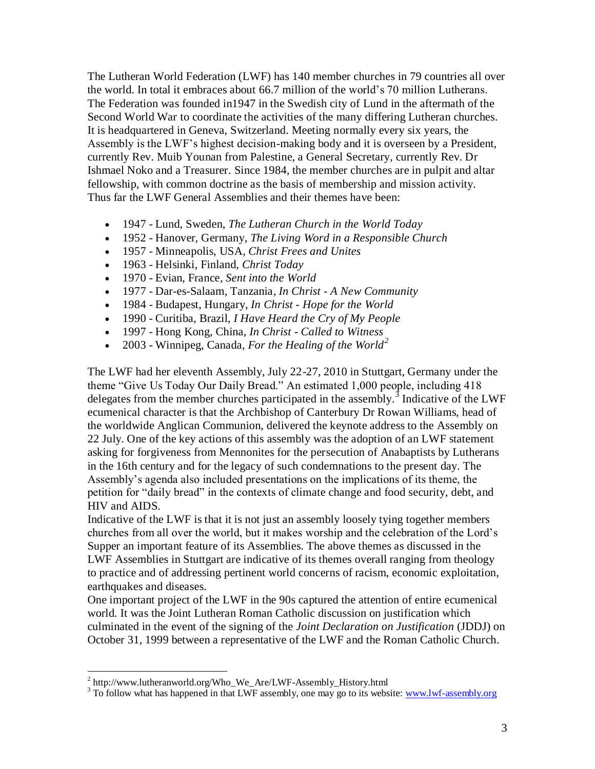The Lutheran World Federation (LWF) has 140 member churches in 79 countries all over the world. In total it embraces about 66.7 million of the world's 70 million Lutherans. The Federation was founded in1947 in the Swedish city of Lund in the aftermath of the Second World War to coordinate the activities of the many differing Lutheran churches. It is headquartered in Geneva, Switzerland. Meeting normally every six years, the Assembly is the LWF's highest decision-making body and it is overseen by a President, currently Rev. Muib Younan from Palestine, a General Secretary, currently Rev. Dr Ishmael Noko and a Treasurer. Since 1984, the member churches are in pulpit and altar fellowship, with common doctrine as the basis of membership and mission activity. Thus far the LWF General Assemblies and their themes have been:

- 1947 Lund, Sweden, *The Lutheran Church in the World Today*
- 1952 Hanover, Germany, *The Living Word in a Responsible Church*
- 1957 Minneapolis, USA, *Christ Frees and Unites*
- 1963 Helsinki, Finland, *Christ Today*
- 1970 Evian, France, *Sent into the World*
- 1977 Dar-es-Salaam, Tanzania, *In Christ - A New Community*
- 1984 Budapest, Hungary, *In Christ - Hope for the World*
- 1990 Curitiba, Brazil, *I Have Heard the Cry of My People*
- 1997 Hong Kong, China, *In Christ - Called to Witness*
- 2003 Winnipeg, Canada, *For the Healing of the World<sup>2</sup>*

The LWF had her eleventh Assembly, July 22-27, 2010 in Stuttgart, Germany under the theme "Give Us Today Our Daily Bread." An estimated 1,000 people, including 418 delegates from the member churches participated in the assembly.<sup>3</sup> Indicative of the LWF ecumenical character is that the Archbishop of Canterbury Dr Rowan Williams, head of the worldwide Anglican Communion, delivered the keynote address to the Assembly on 22 July. One of the key actions of this assembly was the adoption of an LWF statement asking for forgiveness from Mennonites for the persecution of Anabaptists by Lutherans in the 16th century and for the legacy of such condemnations to the present day. The Assembly's agenda also included presentations on the implications of its theme, the petition for "daily bread" in the contexts of climate change and food security, debt, and HIV and AIDS.

Indicative of the LWF is that it is not just an assembly loosely tying together members churches from all over the world, but it makes worship and the celebration of the Lord's Supper an important feature of its Assemblies. The above themes as discussed in the LWF Assemblies in Stuttgart are indicative of its themes overall ranging from theology to practice and of addressing pertinent world concerns of racism, economic exploitation, earthquakes and diseases.

One important project of the LWF in the 90s captured the attention of entire ecumenical world. It was the Joint Lutheran Roman Catholic discussion on justification which culminated in the event of the signing of the *Joint Declaration on Justification* (JDDJ) on October 31, 1999 between a representative of the LWF and the Roman Catholic Church.

 2 http://www.lutheranworld.org/Who\_We\_Are/LWF-Assembly\_History.html

<sup>&</sup>lt;sup>3</sup> To follow what has happened in that LWF assembly, one may go to its website: www.lwf-assembly.org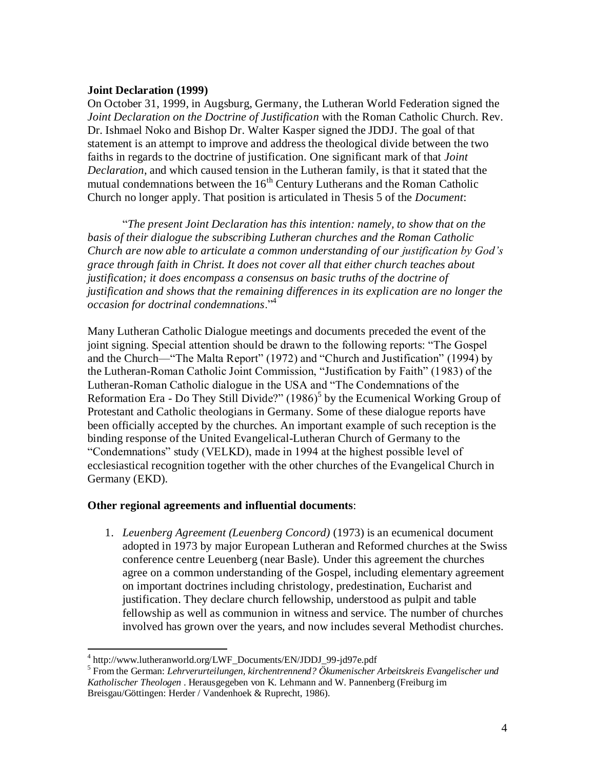#### **Joint Declaration (1999)**

On October 31, 1999, in Augsburg, Germany, the Lutheran World Federation signed the *Joint Declaration on the Doctrine of Justification* with the Roman Catholic Church. Rev. Dr. Ishmael Noko and Bishop Dr. Walter Kasper signed the JDDJ. The goal of that statement is an attempt to improve and address the theological divide between the two faiths in regards to the doctrine of justification. One significant mark of that *Joint Declaration*, and which caused tension in the Lutheran family, is that it stated that the mutual condemnations between the  $16<sup>th</sup>$  Century Lutherans and the Roman Catholic Church no longer apply. That position is articulated in Thesis 5 of the *Document*:

―*The present Joint Declaration has this intention: namely, to show that on the basis of their dialogue the subscribing Lutheran churches and the Roman Catholic Church are now able to articulate a common understanding of our justification by God's grace through faith in Christ. It does not cover all that either church teaches about justification; it does encompass a consensus on basic truths of the doctrine of justification and shows that the remaining differences in its explication are no longer the occasion for doctrinal condemnations*.‖<sup>4</sup>

Many Lutheran Catholic Dialogue meetings and documents preceded the event of the joint signing. Special attention should be drawn to the following reports: "The Gospel" and the Church—"The Malta Report" (1972) and "Church and Justification" (1994) by the Lutheran-Roman Catholic Joint Commission, "Justification by Faith" (1983) of the Lutheran-Roman Catholic dialogue in the USA and "The Condemnations of the Reformation Era - Do They Still Divide?"  $(1986)^5$  by the Ecumenical Working Group of Protestant and Catholic theologians in Germany. Some of these dialogue reports have been officially accepted by the churches. An important example of such reception is the binding response of the United Evangelical-Lutheran Church of Germany to the ―Condemnations‖ study (VELKD), made in 1994 at the highest possible level of ecclesiastical recognition together with the other churches of the Evangelical Church in Germany (EKD).

#### **Other regional agreements and influential documents**:

1. *Leuenberg Agreement (Leuenberg Concord)* (1973) is an ecumenical document adopted in 1973 by major European Lutheran and Reformed churches at the Swiss conference centre Leuenberg (near Basle). Under this agreement the churches agree on a common understanding of the Gospel, including elementary agreement on important doctrines including christology, predestination, Eucharist and justification. They declare church fellowship, understood as pulpit and table fellowship as well as communion in witness and service. The number of churches involved has grown over the years, and now includes several Methodist churches.

 4 http://www.lutheranworld.org/LWF\_Documents/EN/JDDJ\_99-jd97e.pdf

<sup>5</sup> From the German: *Lehrverurteilungen, kirchentrennend? Ökumenischer Arbeitskreis Evangelischer und Katholischer Theologen* . Herausgegeben von K. Lehmann and W. Pannenberg (Freiburg im Breisgau/Göttingen: Herder / Vandenhoek & Ruprecht, 1986).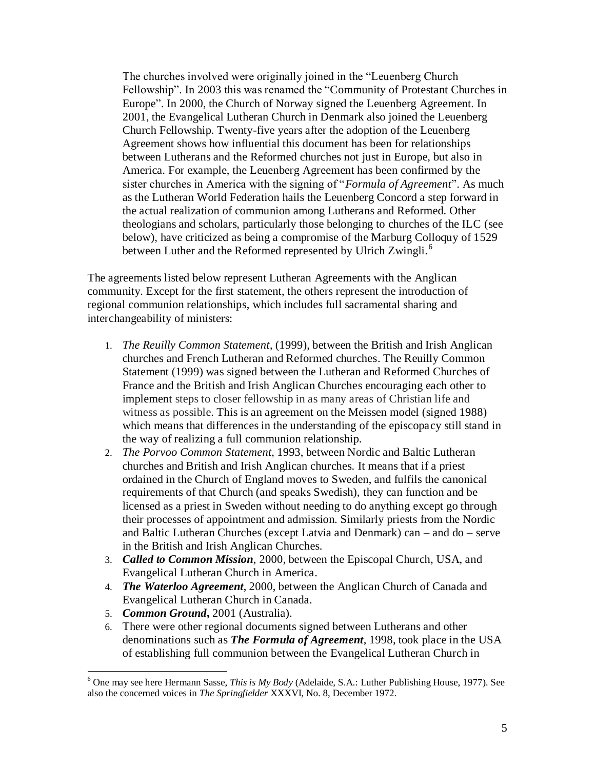The churches involved were originally joined in the "Leuenberg Church" Fellowship". In 2003 this was renamed the "Community of Protestant Churches in Europe". In 2000, the Church of Norway signed the Leuenberg Agreement. In 2001, the Evangelical Lutheran Church in Denmark also joined the Leuenberg Church Fellowship. Twenty-five years after the adoption of the Leuenberg Agreement shows how influential this document has been for relationships between Lutherans and the Reformed churches not just in Europe, but also in America. For example, the Leuenberg Agreement has been confirmed by the sister churches in America with the signing of "*Formula of Agreement*". As much as the Lutheran World Federation hails the Leuenberg Concord a step forward in the actual realization of communion among Lutherans and Reformed. Other theologians and scholars, particularly those belonging to churches of the ILC (see below), have criticized as being a compromise of the Marburg Colloquy of 1529 between Luther and the Reformed represented by Ulrich Zwingli.<sup>6</sup>

The agreements listed below represent Lutheran Agreements with the Anglican community. Except for the first statement, the others represent the introduction of regional communion relationships, which includes full sacramental sharing and interchangeability of ministers:

- 1. *The Reuilly Common Statement*, (1999), between the British and Irish Anglican churches and French Lutheran and Reformed churches. The Reuilly Common Statement (1999) was signed between the Lutheran and Reformed Churches of France and the British and Irish Anglican Churches encouraging each other to implement steps to closer fellowship in as many areas of Christian life and witness as possible. This is an agreement on the Meissen model (signed 1988) which means that differences in the understanding of the episcopacy still stand in the way of realizing a full communion relationship.
- 2. *The Porvoo Common Statement*, 1993, between Nordic and Baltic Lutheran churches and British and Irish Anglican churches. It means that if a priest ordained in the Church of England moves to Sweden, and fulfils the canonical requirements of that Church (and speaks Swedish), they can function and be licensed as a priest in Sweden without needing to do anything except go through their processes of appointment and admission. Similarly priests from the Nordic and Baltic Lutheran Churches (except Latvia and Denmark) can – and do – serve in the British and Irish Anglican Churches.
- 3. *Called to Common Mission*, 2000, between the Episcopal Church, USA, and Evangelical Lutheran Church in America.
- 4. *The Waterloo Agreement*, 2000, between the Anglican Church of Canada and Evangelical Lutheran Church in Canada.
- 5. *Common Ground***,** 2001 (Australia).

6. There were other regional documents signed between Lutherans and other denominations such as *The Formula of Agreement*, 1998, took place in the USA of establishing full communion between the Evangelical Lutheran Church in

<sup>6</sup> One may see here Hermann Sasse, *This is My Body* (Adelaide, S.A.: Luther Publishing House, 1977). See also the concerned voices in *The Springfielder* XXXVI, No. 8, December 1972.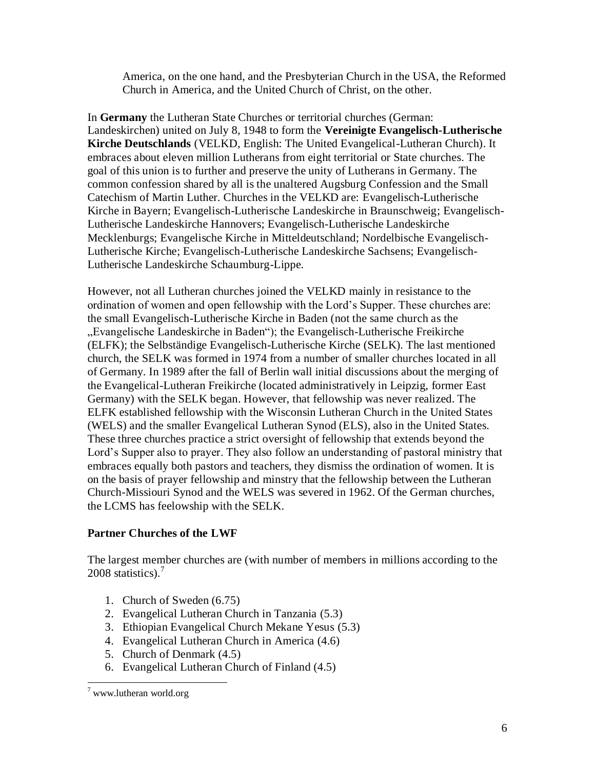America, on the one hand, and the Presbyterian Church in the USA, the Reformed Church in America, and the United Church of Christ, on the other.

In **Germany** the Lutheran State Churches or territorial churches (German: Landeskirchen) united on July 8, 1948 to form the **Vereinigte Evangelisch-Lutherische Kirche Deutschlands** (VELKD, English: The United Evangelical-Lutheran Church). It embraces about eleven million Lutherans from eight territorial or State churches. The goal of this union is to further and preserve the unity of Lutherans in Germany. The common confession shared by all is the unaltered Augsburg Confession and the Small Catechism of Martin Luther. Churches in the VELKD are: Evangelisch-Lutherische Kirche in Bayern; Evangelisch-Lutherische Landeskirche in Braunschweig; Evangelisch-Lutherische Landeskirche Hannovers; Evangelisch-Lutherische Landeskirche Mecklenburgs; Evangelische Kirche in Mitteldeutschland; Nordelbische Evangelisch-Lutherische Kirche; Evangelisch-Lutherische Landeskirche Sachsens; Evangelisch-Lutherische Landeskirche Schaumburg-Lippe.

However, not all Lutheran churches joined the VELKD mainly in resistance to the ordination of women and open fellowship with the Lord's Supper. These churches are: the small Evangelisch-Lutherische Kirche in Baden (not the same church as the "Evangelische Landeskirche in Baden"); the Evangelisch-Lutherische Freikirche (ELFK); the Selbständige Evangelisch-Lutherische Kirche (SELK). The last mentioned church, the SELK was formed in 1974 from a number of smaller churches located in all of Germany. In 1989 after the fall of Berlin wall initial discussions about the merging of the Evangelical-Lutheran Freikirche (located administratively in Leipzig, former East Germany) with the SELK began. However, that fellowship was never realized. The ELFK established fellowship with the Wisconsin Lutheran Church in the United States (WELS) and the smaller Evangelical Lutheran Synod (ELS), also in the United States. These three churches practice a strict oversight of fellowship that extends beyond the Lord's Supper also to prayer. They also follow an understanding of pastoral ministry that embraces equally both pastors and teachers, they dismiss the ordination of women. It is on the basis of prayer fellowship and minstry that the fellowship between the Lutheran Church-Missiouri Synod and the WELS was severed in 1962. Of the German churches, the LCMS has feelowship with the SELK.

## **Partner Churches of the LWF**

The largest member churches are (with number of members in millions according to the 2008 statistics). $<sup>7</sup>$ </sup>

- 1. Church of Sweden (6.75)
- 2. Evangelical Lutheran Church in Tanzania (5.3)
- 3. Ethiopian Evangelical Church Mekane Yesus (5.3)
- 4. Evangelical Lutheran Church in America (4.6)
- 5. Church of Denmark (4.5)
- 6. Evangelical Lutheran Church of Finland (4.5)

 $\overline{a}$  $7$  www.lutheran world.org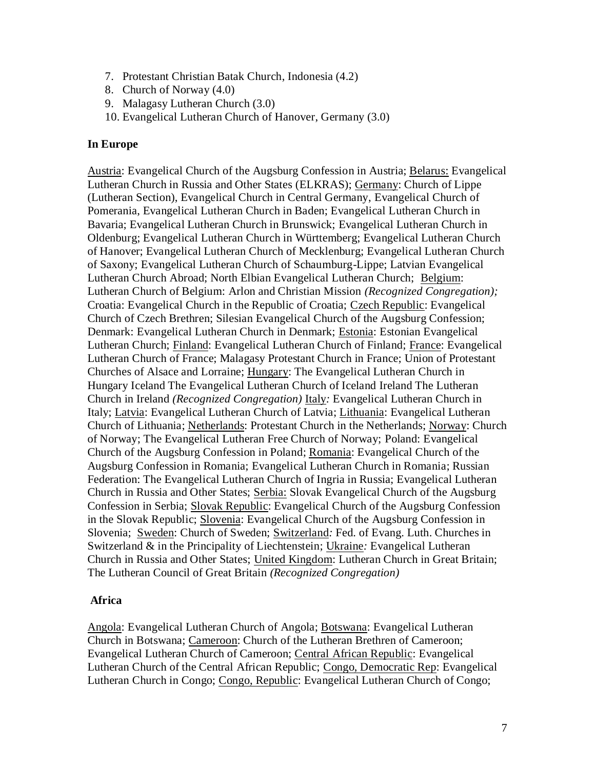- 7. Protestant Christian Batak Church, Indonesia (4.2)
- 8. Church of Norway (4.0)
- 9. Malagasy Lutheran Church (3.0)
- 10. Evangelical Lutheran Church of Hanover, Germany (3.0)

#### **In Europe**

Austria: Evangelical Church of the Augsburg Confession in Austria; Belarus: Evangelical Lutheran Church in Russia and Other States (ELKRAS); Germany: Church of Lippe (Lutheran Section), Evangelical Church in Central Germany, Evangelical Church of Pomerania, Evangelical Lutheran Church in Baden; Evangelical Lutheran Church in Bavaria; Evangelical Lutheran Church in Brunswick; Evangelical Lutheran Church in Oldenburg; Evangelical Lutheran Church in Württemberg; Evangelical Lutheran Church of Hanover; Evangelical Lutheran Church of Mecklenburg; Evangelical Lutheran Church of Saxony; Evangelical Lutheran Church of Schaumburg-Lippe; Latvian Evangelical Lutheran Church Abroad; North Elbian Evangelical Lutheran Church; Belgium: Lutheran Church of Belgium: Arlon and Christian Mission *(Recognized Congregation);* Croatia: Evangelical Church in the Republic of Croatia; Czech Republic: Evangelical Church of Czech Brethren; Silesian Evangelical Church of the Augsburg Confession; Denmark: Evangelical Lutheran Church in Denmark; Estonia: Estonian Evangelical Lutheran Church; Finland: Evangelical Lutheran Church of Finland; France: Evangelical Lutheran Church of France; Malagasy Protestant Church in France; Union of Protestant Churches of Alsace and Lorraine; Hungary: The Evangelical Lutheran Church in Hungary Iceland The Evangelical Lutheran Church of Iceland Ireland The Lutheran Church in Ireland *(Recognized Congregation)* Italy*:* Evangelical Lutheran Church in Italy; Latvia: Evangelical Lutheran Church of Latvia; Lithuania: Evangelical Lutheran Church of Lithuania; Netherlands: Protestant Church in the Netherlands; Norway: Church of Norway; The Evangelical Lutheran Free Church of Norway; Poland: Evangelical Church of the Augsburg Confession in Poland; Romania: Evangelical Church of the Augsburg Confession in Romania; Evangelical Lutheran Church in Romania; Russian Federation: The Evangelical Lutheran Church of Ingria in Russia; Evangelical Lutheran Church in Russia and Other States; Serbia: Slovak Evangelical Church of the Augsburg Confession in Serbia; Slovak Republic: Evangelical Church of the Augsburg Confession in the Slovak Republic; Slovenia: Evangelical Church of the Augsburg Confession in Slovenia; Sweden: Church of Sweden; Switzerland*:* Fed. of Evang. Luth. Churches in Switzerland & in the Principality of Liechtenstein; Ukraine*:* Evangelical Lutheran Church in Russia and Other States; United Kingdom: Lutheran Church in Great Britain; The Lutheran Council of Great Britain *(Recognized Congregation)*

#### **Africa**

Angola: Evangelical Lutheran Church of Angola; Botswana: Evangelical Lutheran Church in Botswana; Cameroon: Church of the Lutheran Brethren of Cameroon; Evangelical Lutheran Church of Cameroon; Central African Republic: Evangelical Lutheran Church of the Central African Republic; Congo, Democratic Rep: Evangelical Lutheran Church in Congo; Congo, Republic: Evangelical Lutheran Church of Congo;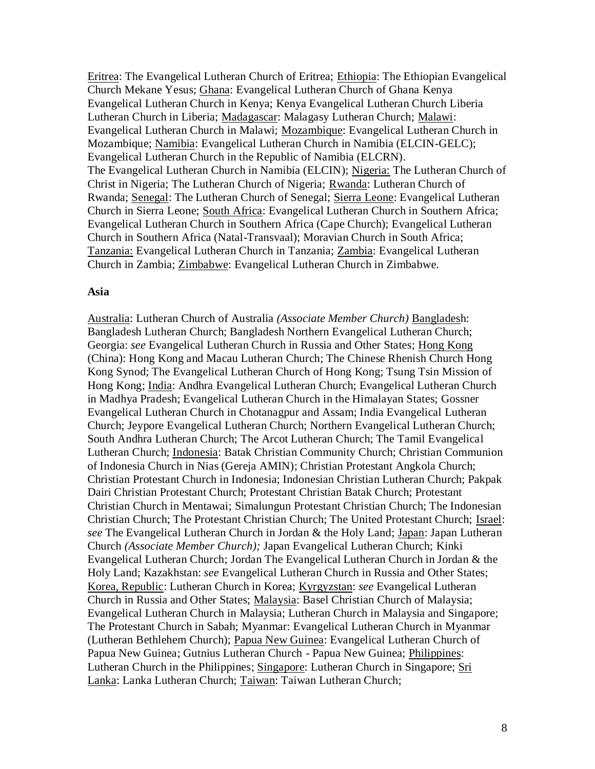Eritrea: The Evangelical Lutheran Church of Eritrea; Ethiopia: The Ethiopian Evangelical Church Mekane Yesus; Ghana: Evangelical Lutheran Church of Ghana Kenya Evangelical Lutheran Church in Kenya; Kenya Evangelical Lutheran Church Liberia Lutheran Church in Liberia; Madagascar: Malagasy Lutheran Church; Malawi: Evangelical Lutheran Church in Malawi; Mozambique: Evangelical Lutheran Church in Mozambique; Namibia: Evangelical Lutheran Church in Namibia (ELCIN-GELC); Evangelical Lutheran Church in the Republic of Namibia (ELCRN). The Evangelical Lutheran Church in Namibia (ELCIN); Nigeria: The Lutheran Church of Christ in Nigeria; The Lutheran Church of Nigeria; Rwanda: Lutheran Church of Rwanda; Senegal: The Lutheran Church of Senegal; Sierra Leone: Evangelical Lutheran Church in Sierra Leone; South Africa: Evangelical Lutheran Church in Southern Africa; Evangelical Lutheran Church in Southern Africa (Cape Church); Evangelical Lutheran Church in Southern Africa (Natal-Transvaal); Moravian Church in South Africa; Tanzania: Evangelical Lutheran Church in Tanzania; Zambia: Evangelical Lutheran Church in Zambia; Zimbabwe: Evangelical Lutheran Church in Zimbabwe.

#### **Asia**

Australia: Lutheran Church of Australia *(Associate Member Church)* Bangladesh: Bangladesh Lutheran Church; Bangladesh Northern Evangelical Lutheran Church; Georgia: *see* Evangelical Lutheran Church in Russia and Other States; Hong Kong (China): Hong Kong and Macau Lutheran Church; The Chinese Rhenish Church Hong Kong Synod; The Evangelical Lutheran Church of Hong Kong; Tsung Tsin Mission of Hong Kong; India: Andhra Evangelical Lutheran Church; Evangelical Lutheran Church in Madhya Pradesh; Evangelical Lutheran Church in the Himalayan States; Gossner Evangelical Lutheran Church in Chotanagpur and Assam; India Evangelical Lutheran Church; Jeypore Evangelical Lutheran Church; Northern Evangelical Lutheran Church; South Andhra Lutheran Church; The Arcot Lutheran Church; The Tamil Evangelical Lutheran Church; Indonesia: Batak Christian Community Church; Christian Communion of Indonesia Church in Nias (Gereja AMIN); Christian Protestant Angkola Church; Christian Protestant Church in Indonesia; Indonesian Christian Lutheran Church; Pakpak Dairi Christian Protestant Church; Protestant Christian Batak Church; Protestant Christian Church in Mentawai; Simalungun Protestant Christian Church; The Indonesian Christian Church; The Protestant Christian Church; The United Protestant Church; Israel: *see* The Evangelical Lutheran Church in Jordan & the Holy Land; Japan: Japan Lutheran Church *(Associate Member Church);* Japan Evangelical Lutheran Church; Kinki Evangelical Lutheran Church; Jordan The Evangelical Lutheran Church in Jordan & the Holy Land; Kazakhstan: *see* Evangelical Lutheran Church in Russia and Other States; Korea, Republic: Lutheran Church in Korea; Kyrgyzstan: *see* Evangelical Lutheran Church in Russia and Other States; Malaysia: Basel Christian Church of Malaysia; Evangelical Lutheran Church in Malaysia; Lutheran Church in Malaysia and Singapore; The Protestant Church in Sabah; Myanmar: Evangelical Lutheran Church in Myanmar (Lutheran Bethlehem Church); Papua New Guinea: Evangelical Lutheran Church of Papua New Guinea; Gutnius Lutheran Church - Papua New Guinea; Philippines: Lutheran Church in the Philippines; Singapore: Lutheran Church in Singapore; Sri Lanka: Lanka Lutheran Church; Taiwan: Taiwan Lutheran Church;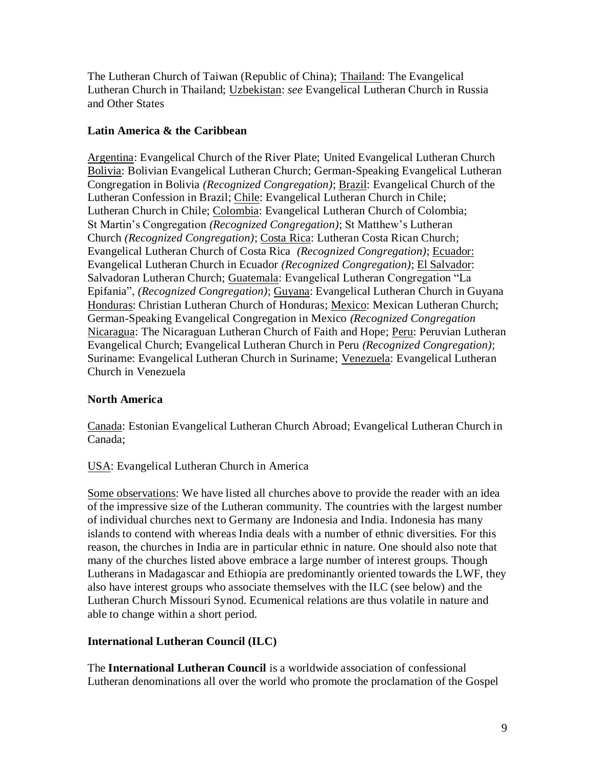The Lutheran Church of Taiwan (Republic of China); Thailand: The Evangelical Lutheran Church in Thailand; Uzbekistan: *see* Evangelical Lutheran Church in Russia and Other States

## **Latin America & the Caribbean**

Argentina: Evangelical Church of the River Plate; United Evangelical Lutheran Church Bolivia: Bolivian Evangelical Lutheran Church; German-Speaking Evangelical Lutheran Congregation in Bolivia *(Recognized Congregation)*; Brazil: Evangelical Church of the Lutheran Confession in Brazil; Chile: Evangelical Lutheran Church in Chile; Lutheran Church in Chile; Colombia: Evangelical Lutheran Church of Colombia; St Martin's Congregation *(Recognized Congregation)*; St Matthew's Lutheran Church *(Recognized Congregation)*; Costa Rica: Lutheran Costa Rican Church; Evangelical Lutheran Church of Costa Rica *(Recognized Congregation)*; Ecuador: Evangelical Lutheran Church in Ecuador *(Recognized Congregation)*; El Salvador: Salvadoran Lutheran Church; Guatemala: Evangelical Lutheran Congregation "La Epifania‖, *(Recognized Congregation)*; Guyana: Evangelical Lutheran Church in Guyana Honduras: Christian Lutheran Church of Honduras; Mexico: Mexican Lutheran Church; German-Speaking Evangelical Congregation in Mexico *(Recognized Congregation* Nicaragua: The Nicaraguan Lutheran Church of Faith and Hope; Peru: Peruvian Lutheran Evangelical Church; Evangelical Lutheran Church in Peru *(Recognized Congregation)*; Suriname: Evangelical Lutheran Church in Suriname; Venezuela: Evangelical Lutheran Church in Venezuela

# **North America**

Canada: Estonian Evangelical Lutheran Church Abroad; Evangelical Lutheran Church in Canada;

## USA: Evangelical Lutheran Church in America

Some observations: We have listed all churches above to provide the reader with an idea of the impressive size of the Lutheran community. The countries with the largest number of individual churches next to Germany are Indonesia and India. Indonesia has many islands to contend with whereas India deals with a number of ethnic diversities. For this reason, the churches in India are in particular ethnic in nature. One should also note that many of the churches listed above embrace a large number of interest groups. Though Lutherans in Madagascar and Ethiopia are predominantly oriented towards the LWF, they also have interest groups who associate themselves with the ILC (see below) and the Lutheran Church Missouri Synod. Ecumenical relations are thus volatile in nature and able to change within a short period.

# **International Lutheran Council (ILC)**

The **International Lutheran Council** is a worldwide association of confessional Lutheran denominations all over the world who promote the proclamation of the Gospel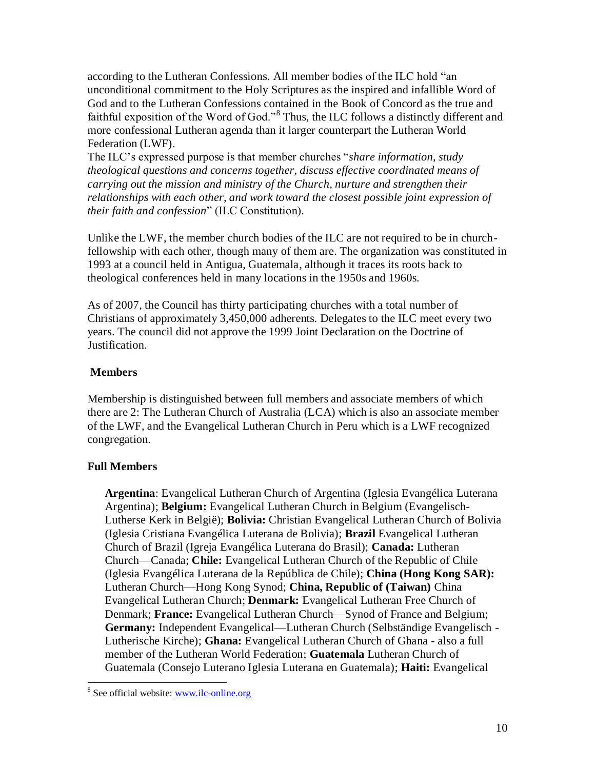according to the Lutheran Confessions. All member bodies of the ILC hold "an unconditional commitment to the Holy Scriptures as the inspired and infallible Word of God and to the Lutheran Confessions contained in the Book of Concord as the true and faithful exposition of the Word of God.<sup>8</sup> Thus, the ILC follows a distinctly different and more confessional Lutheran agenda than it larger counterpart the Lutheran World Federation (LWF).

The ILC's expressed purpose is that member churches "*share information, study theological questions and concerns together, discuss effective coordinated means of carrying out the mission and ministry of the Church, nurture and strengthen their relationships with each other, and work toward the closest possible joint expression of their faith and confession*‖ (ILC Constitution).

Unlike the LWF, the member church bodies of the ILC are not required to be in churchfellowship with each other, though many of them are. The organization was constituted in 1993 at a council held in Antigua, Guatemala, although it traces its roots back to theological conferences held in many locations in the 1950s and 1960s.

As of 2007, the Council has thirty participating churches with a total number of Christians of approximately 3,450,000 adherents. Delegates to the ILC meet every two years. The council did not approve the 1999 Joint Declaration on the Doctrine of Justification.

## **Members**

Membership is distinguished between full members and associate members of which there are 2: The Lutheran Church of Australia (LCA) which is also an associate member of the LWF, and the Evangelical Lutheran Church in Peru which is a LWF recognized congregation.

## **Full Members**

**Argentina**: [Evangelical Lutheran Church of Argentina](http://en.wikipedia.org/w/index.php?title=Evangelical_Lutheran_Church_of_Argentina&action=edit&redlink=1) (Iglesia Evangélica Luterana Argentina); **Belgium:** Evangelical Lutheran Church in Belgium (Evangelisch-Lutherse Kerk in België); **Bolivia:** [Christian Evangelical Lutheran Church of Bolivia](http://en.wikipedia.org/w/index.php?title=Christian_Evangelical_Lutheran_Church_of_Bolivia&action=edit&redlink=1) (Iglesia Cristiana Evangélica Luterana de Bolivia); **Brazil** [Evangelical Lutheran](http://en.wikipedia.org/wiki/Evangelical_Lutheran_Church_of_Brazil)  [Church of Brazil](http://en.wikipedia.org/wiki/Evangelical_Lutheran_Church_of_Brazil) (Igreja Evangélica Luterana do Brasil); **Canada:** [Lutheran](http://en.wikipedia.org/wiki/Lutheran_Church%E2%80%94Canada)  [Church—Canada;](http://en.wikipedia.org/wiki/Lutheran_Church%E2%80%94Canada) **Chile:** [Evangelical Lutheran Church of the Republic of Chile](http://en.wikipedia.org/w/index.php?title=Evangelical_Lutheran_Church_of_the_Republic_of_Chile&action=edit&redlink=1) (Iglesia Evangélica Luterana de la República de Chile); **China (Hong Kong SAR):** Lutheran Church—Hong Kong Synod; **China, Republic of (Taiwan)** [China](http://en.wikipedia.org/w/index.php?title=China_Evangelical_Lutheran_Church&action=edit&redlink=1)  [Evangelical Lutheran Church;](http://en.wikipedia.org/w/index.php?title=China_Evangelical_Lutheran_Church&action=edit&redlink=1) **Denmark:** [Evangelical Lutheran Free Church of](http://en.wikipedia.org/w/index.php?title=Evangelical_Lutheran_Free_Church_of_Denmark&action=edit&redlink=1)  [Denmark;](http://en.wikipedia.org/w/index.php?title=Evangelical_Lutheran_Free_Church_of_Denmark&action=edit&redlink=1) **France:** [Evangelical Lutheran Church—Synod of France and Belgium;](http://en.wikipedia.org/wiki/Evangelical_Lutheran_Church%E2%80%94Synod_of_France_and_Belgium) **Germany:** Independent Evangelical—Lutheran Church (Selbständige Evangelisch - Lutherische Kirche); **Ghana:** [Evangelical Lutheran Church of Ghana](http://en.wikipedia.org/w/index.php?title=Evangelical_Lutheran_Church_of_Ghana&action=edit&redlink=1) *-* also a full member of the Lutheran World Federation; **Guatemala** [Lutheran Church of](http://en.wikipedia.org/w/index.php?title=Lutheran_Church_of_Guatemala&action=edit&redlink=1)  [Guatemala](http://en.wikipedia.org/w/index.php?title=Lutheran_Church_of_Guatemala&action=edit&redlink=1) (Consejo Luterano Iglesia Luterana en Guatemala); **Haiti:** [Evangelical](http://en.wikipedia.org/w/index.php?title=Evangelical_Lutheran_Church_of_Haiti&action=edit&redlink=1) 

 $\overline{a}$ <sup>8</sup> See official website: [www.ilc-online.org](http://www.ilc-online.org/)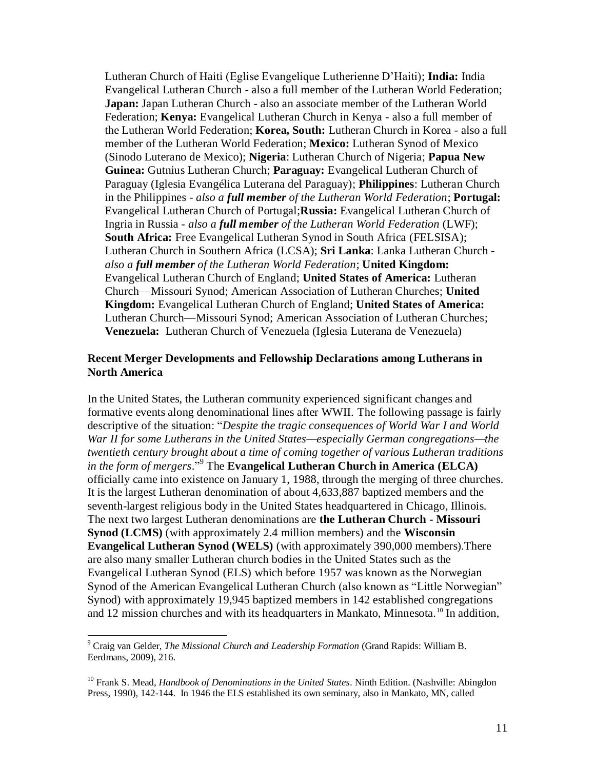Lutheran Church of Haiti (Eglise Evangelique Lutherienne D'Haiti); **India:** [India](http://en.wikipedia.org/w/index.php?title=India_Evangelical_Lutheran_Church&action=edit&redlink=1)  [Evangelical Lutheran Church](http://en.wikipedia.org/w/index.php?title=India_Evangelical_Lutheran_Church&action=edit&redlink=1) *-* also a full member of the Lutheran World Federation; **Japan:** Japan Lutheran Church *-* also an associate member of the Lutheran World Federation; **Kenya:** [Evangelical Lutheran Church in Kenya](http://en.wikipedia.org/w/index.php?title=Evangelical_Lutheran_Church_in_Kenya&action=edit&redlink=1) *-* also a full member of the Lutheran World Federation; **Korea, South:** [Lutheran Church in Korea](http://en.wikipedia.org/w/index.php?title=Lutheran_Church_in_Korea&action=edit&redlink=1) *-* also a full member of the Lutheran World Federation; **Mexico:** [Lutheran Synod of Mexico](http://en.wikipedia.org/w/index.php?title=Lutheran_Synod_of_Mexico&action=edit&redlink=1) (Sinodo Luterano de Mexico); **Nigeria**: [Lutheran Church of Nigeria;](http://en.wikipedia.org/w/index.php?title=Lutheran_Church_of_Nigeria&action=edit&redlink=1) **Papua New Guinea:** [Gutnius Lutheran Church;](http://en.wikipedia.org/wiki/Gutnius_Lutheran_Church) **Paraguay:** [Evangelical Lutheran Church of](http://en.wikipedia.org/w/index.php?title=Evangelical_Lutheran_Church_of_Paraguay&action=edit&redlink=1)  [Paraguay](http://en.wikipedia.org/w/index.php?title=Evangelical_Lutheran_Church_of_Paraguay&action=edit&redlink=1) (Iglesia Evangélica Luterana del Paraguay); **Philippines**: [Lutheran Church](http://en.wikipedia.org/w/index.php?title=Lutheran_Church_in_the_Philippines&action=edit&redlink=1)  [in the Philippines](http://en.wikipedia.org/w/index.php?title=Lutheran_Church_in_the_Philippines&action=edit&redlink=1) *- also a full member of the Lutheran World Federation*; **Portugal:** Evangelical Lutheran Church of Portugal;**Russia:** [Evangelical Lutheran Church of](http://en.wikipedia.org/w/index.php?title=Evangelical_Lutheran_Church_of_Ingria_in_Russia&action=edit&redlink=1)  [Ingria in Russia](http://en.wikipedia.org/w/index.php?title=Evangelical_Lutheran_Church_of_Ingria_in_Russia&action=edit&redlink=1) *- also a full member of the [Lutheran World Federation](http://en.wikipedia.org/wiki/Lutheran_World_Federation)* (LWF); **South Africa:** [Free Evangelical Lutheran Synod in South Africa](http://en.wikipedia.org/w/index.php?title=Free_Evangelical_Lutheran_Synod_in_South_Africa&action=edit&redlink=1) (FELSISA); Lutheran Church in Southern Africa (LCSA); **Sri Lanka**: Lanka Lutheran Church  *also a full member of the Lutheran World Federation*; **United Kingdom:** Evangelical Lutheran Church of England; **United States of America:** Lutheran Church—Missouri Synod; American Association of Lutheran Churches; **United Kingdom:** Evangelical Lutheran Church of England; **United States of America:** Lutheran Church—Missouri Synod; American Association of Lutheran Churches; **Venezuela:** Lutheran Church of Venezuela (Iglesia Luterana de Venezuela)

#### **Recent Merger Developments and Fellowship Declarations among Lutherans in North America**

In the United States, the Lutheran community experienced significant changes and formative events along denominational lines after WWII. The following passage is fairly descriptive of the situation: "Despite the tragic consequences of World War I and World *War II for some Lutherans in the United States—especially German congregations—the twentieth century brought about a time of coming together of various Lutheran traditions*  in the form of mergers."<sup>9</sup> The **Evangelical Lutheran Church in America** (**ELCA**) officially came into existence on January 1, 1988, through the merging of three churches. It is the largest Lutheran denomination of about 4,633,887 baptized members and the seventh-largest religious body in the United States headquartered in Chicago, Illinois. The next two largest Lutheran denominations are **the Lutheran Church - Missouri Synod (LCMS)** (with approximately 2.4 million members) and the **Wisconsin Evangelical Lutheran Synod (WELS)** (with approximately 390,000 members).There are also many smaller Lutheran church bodies in the United States such as the Evangelical Lutheran Synod (ELS) which before 1957 was known as the Norwegian Synod of the American Evangelical Lutheran Church (also known as "Little Norwegian" Synod) with approximately 19,945 baptized members in 142 established congregations and 12 mission churches and with its headquarters in Mankato, Minnesota.<sup>10</sup> In addition,

<sup>9</sup> Craig van Gelder, *The Missional Church and Leadership Formation* (Grand Rapids: William B. Eerdmans, 2009), 216.

<sup>10</sup> Frank S. Mead, *Handbook of Denominations in the United States*. Ninth Edition. (Nashville: Abingdon Press, 1990), 142-144. In 1946 the ELS established its own seminary, also in Mankato, MN, called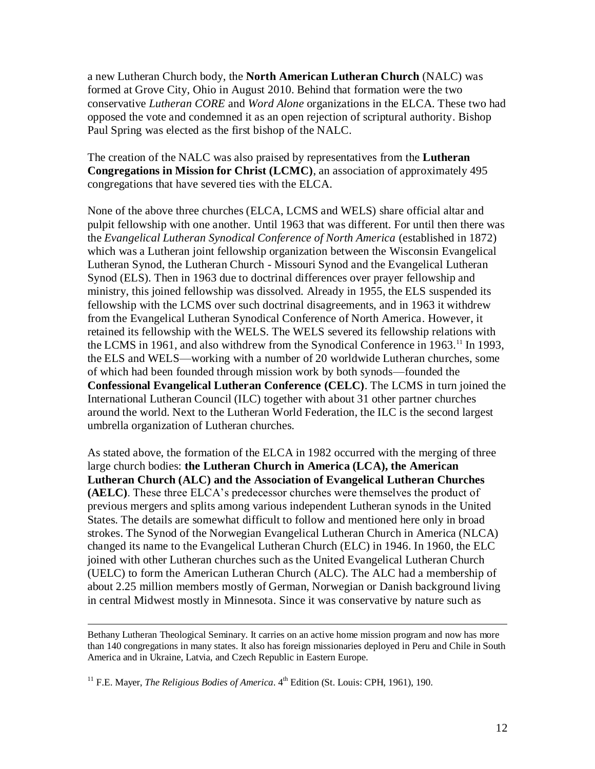a new Lutheran Church body, the **North American Lutheran Church** (NALC) was formed at Grove City, Ohio in August 2010. Behind that formation were the two conservative *Lutheran CORE* and *Word Alone* organizations in the ELCA. These two had opposed the vote and condemned it as an open rejection of scriptural authority. Bishop Paul Spring was elected as the first bishop of the NALC.

The creation of the NALC was also praised by representatives from the **Lutheran Congregations in Mission for Christ (LCMC)**, an association of approximately 495 congregations that have severed ties with the ELCA.

None of the above three churches (ELCA, LCMS and WELS) share official altar and pulpit fellowship with one another. Until 1963 that was different. For until then there was the *Evangelical Lutheran Synodical Conference of North America* (established in 1872) which was a Lutheran joint fellowship organization between the Wisconsin Evangelical Lutheran Synod, the Lutheran Church - Missouri Synod and the Evangelical Lutheran Synod (ELS). Then in 1963 due to doctrinal differences over prayer fellowship and ministry, this joined fellowship was dissolved. Already in 1955, the ELS suspended its fellowship with the LCMS over such doctrinal disagreements, and in 1963 it withdrew from the Evangelical Lutheran Synodical Conference of North America. However, it retained its fellowship with the WELS. The WELS severed its fellowship relations with the LCMS in 1961, and also withdrew from the Synodical Conference in 1963.<sup>11</sup> In 1993, the ELS and WELS—working with a number of 20 worldwide Lutheran churches, some of which had been founded through mission work by both synods—founded the **[Confessional Evangelical Lutheran Conference](http://en.wikipedia.org/wiki/Confessional_Evangelical_Lutheran_Conference) (CELC)**. The LCMS in turn joined the International Lutheran Council (ILC) together with about 31 other partner churches around the world. Next to the Lutheran World Federation, the ILC is the second largest umbrella organization of Lutheran churches.

As stated above, the formation of the ELCA in 1982 occurred with the merging of three large church bodies: **the Lutheran Church in America (LCA), the American Lutheran Church (ALC) and the Association of Evangelical Lutheran Churches (AELC)**. These three ELCA's predecessor churches were themselves the product of previous mergers and splits among various independent Lutheran synods in the United States. The details are somewhat difficult to follow and mentioned here only in broad strokes. The Synod of the Norwegian Evangelical Lutheran Church in America (NLCA) changed its name to the Evangelical Lutheran Church (ELC) in 1946. In 1960, the ELC joined with other Lutheran churches such as the United Evangelical Lutheran Church (UELC) to form the American Lutheran Church (ALC). The ALC had a membership of about 2.25 million members mostly of German, Norwegian or Danish background living in central Midwest mostly in Minnesota. Since it was conservative by nature such as

Bethany Lutheran Theological Seminary. It carries on an active home mission program and now has more than 140 congregations in many states. It also has foreign missionaries deployed in Peru and Chile in South America and in Ukraine, Latvia, and Czech Republic in Eastern Europe.

<sup>&</sup>lt;sup>11</sup> F.E. Mayer, *The Religious Bodies of America*.  $4<sup>th</sup>$  Edition (St. Louis: CPH, 1961), 190.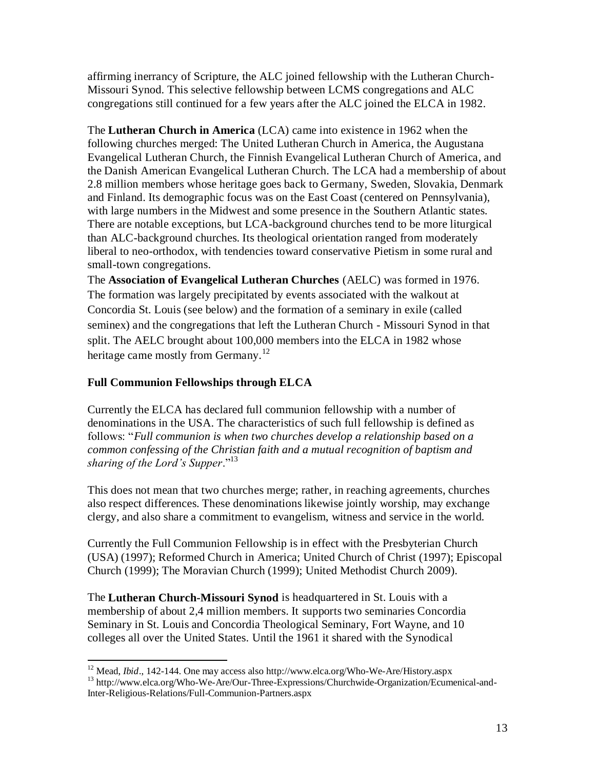affirming inerrancy of Scripture, the ALC joined fellowship with the Lutheran Church-Missouri Synod. This selective fellowship between LCMS congregations and ALC congregations still continued for a few years after the ALC joined the ELCA in 1982.

The **Lutheran Church in America** (LCA) came into existence in 1962 when the following churches merged: The United Lutheran Church in America, the Augustana Evangelical Lutheran Church, the Finnish Evangelical Lutheran Church of America, and the Danish American Evangelical Lutheran Church. The LCA had a membership of about 2.8 million members whose heritage goes back to Germany, Sweden, Slovakia, Denmark and Finland. Its demographic focus was on the East Coast (centered on Pennsylvania), with large numbers in the Midwest and some presence in the Southern Atlantic states. There are notable exceptions, but LCA-background churches tend to be more liturgical than ALC-background churches. Its theological orientation ranged from moderately liberal to neo-orthodox, with tendencies toward conservative Pietism in some rural and small-town congregations.

The **Association of Evangelical Lutheran Churches** (AELC) was formed in 1976. The formation was largely precipitated by events associated with the walkout at Concordia St. Louis (see below) and the formation of a seminary in exile (called seminex) and the congregations that left the Lutheran Church - Missouri Synod in that split. The AELC brought about 100,000 members into the ELCA in 1982 whose heritage came mostly from Germany.<sup>12</sup>

# **Full Communion Fellowships through ELCA**

 $\overline{a}$ 

Currently the ELCA has declared full communion fellowship with a number of denominations in the USA. The characteristics of such full fellowship is defined as follows: "Full communion is when two churches develop a relationship based on a *common confessing of the Christian faith and a mutual recognition of baptism and sharing of the Lord's Supper.*"<sup>13</sup>

This does not mean that two churches merge; rather, in reaching agreements, churches also respect differences. These denominations likewise jointly worship, may exchange clergy, and also share a commitment to evangelism, witness and service in the world.

Currently the Full Communion Fellowship is in effect with the Presbyterian Church (USA) (1997); Reformed Church in America; United Church of Christ (1997); Episcopal Church (1999); The Moravian Church (1999); United Methodist Church 2009).

The **Lutheran Church-Missouri Synod** is headquartered in St. Louis with a membership of about 2,4 million members. It supports two seminaries Concordia Seminary in St. Louis and Concordia Theological Seminary, Fort Wayne, and 10 colleges all over the United States. Until the 1961 it shared with the Synodical

<sup>12</sup> Mead, *Ibid*., 142-144. One may access also http://www.elca.org/Who-We-Are/History.aspx <sup>13</sup> http://www.elca.org/Who-We-Are/Our-Three-Expressions/Churchwide-Organization/Ecumenical-and-

Inter-Religious-Relations/Full-Communion-Partners.aspx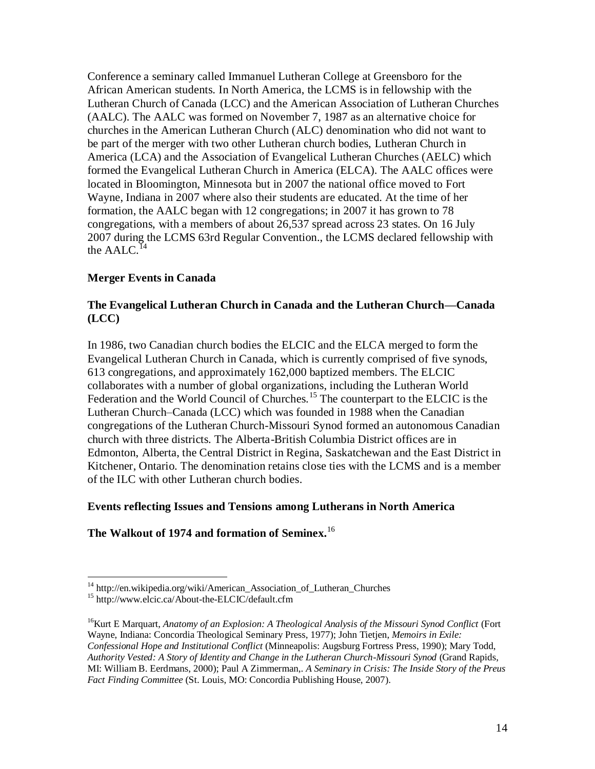Conference a seminary called Immanuel Lutheran College at Greensboro for the African American students. In North America, the LCMS is in fellowship with the Lutheran Church of Canada (LCC) and the American Association of Lutheran Churches (AALC). The AALC was formed on November 7, 1987 as an alternative choice for churches in the American Lutheran Church (ALC) denomination who did not want to be part of the merger with two other Lutheran church bodies, Lutheran Church in America (LCA) and the Association of Evangelical Lutheran Churches (AELC) which formed the Evangelical Lutheran Church in America (ELCA). The AALC offices were located in Bloomington, Minnesota but in 2007 the national office moved to Fort Wayne, Indiana in 2007 where also their students are educated. At the time of her formation, the AALC began with 12 congregations; in 2007 it has grown to 78 congregations, with a members of about 26,537 spread across 23 states. On 16 July 2007 during the LCMS 63rd Regular Convention., the LCMS declared fellowship with the  $AALC$ <sup>14</sup>

## **Merger Events in Canada**

#### **The Evangelical Lutheran Church in Canada and the Lutheran Church—Canada (LCC)**

In 1986, two Canadian church bodies the ELCIC and the ELCA merged to form the Evangelical Lutheran Church in Canada, which is currently comprised of five synods, 613 congregations, and approximately 162,000 baptized members. The ELCIC collaborates with a number of global organizations, including the Lutheran World Federation and the World Council of Churches.<sup>15</sup> The counterpart to the ELCIC is the Lutheran Church–Canada (LCC) which was founded in 1988 when the Canadian congregations of the Lutheran Church-Missouri Synod formed an autonomous Canadian church with three districts. The Alberta-British Columbia District offices are in Edmonton, Alberta, the Central District in Regina, Saskatchewan and the East District in Kitchener, Ontario. The denomination retains close ties with the LCMS and is a member of the ILC with other Lutheran church bodies.

## **Events reflecting Issues and Tensions among Lutherans in North America**

## **The Walkout of 1974 and formation of Seminex.** 16

<sup>&</sup>lt;sup>14</sup> http://en.wikipedia.org/wiki/American\_Association\_of\_Lutheran\_Churches

<sup>&</sup>lt;sup>15</sup> http://www.elcic.ca/About-the-ELCIC/default.cfm

<sup>16</sup>Kurt E Marquart, *Anatomy of an Explosion: A Theological Analysis of the Missouri Synod Conflict* (Fort Wayne, Indiana: Concordia Theological Seminary Press, 1977); John Tietjen, *Memoirs in Exile: Confessional Hope and Institutional Conflict* (Minneapolis: Augsburg Fortress Press, 1990); Mary Todd, *Authority Vested: A Story of Identity and Change in the Lutheran Church-Missouri Synod* (Grand Rapids, MI: William B. Eerdmans, 2000); Paul A Zimmerman,. *A Seminary in Crisis: The Inside Story of the Preus Fact Finding Committee* (St. Louis, MO: Concordia Publishing House, 2007).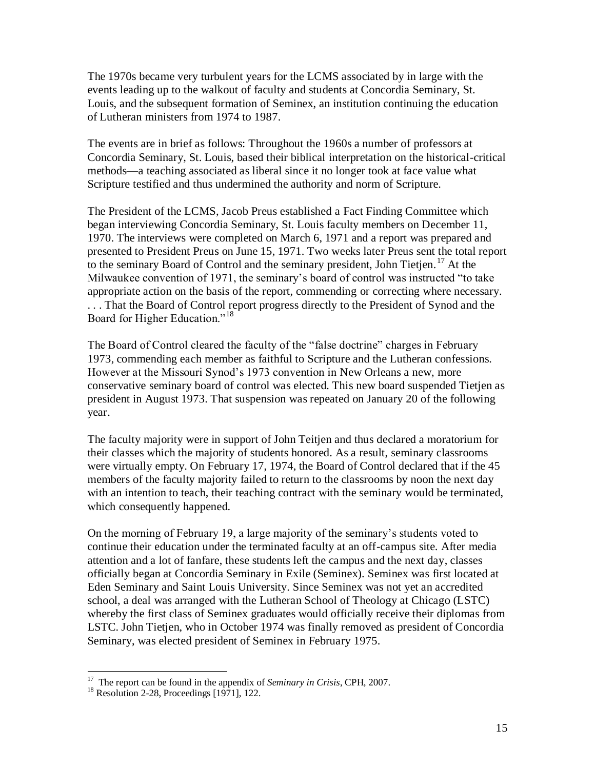The 1970s became very turbulent years for the LCMS associated by in large with the events leading up to the walkout of faculty and students at Concordia Seminary, St. Louis, and the subsequent formation of Seminex, an institution continuing the education of Lutheran ministers from 1974 to 1987.

The events are in brief as follows: Throughout the 1960s a number of professors at Concordia Seminary, St. Louis, based their biblical interpretation on the historical-critical methods—a teaching associated as liberal since it no longer took at face value what Scripture testified and thus undermined the authority and norm of Scripture.

The President of the LCMS, Jacob Preus established a Fact Finding Committee which began interviewing Concordia Seminary, St. Louis faculty members on December 11, 1970. The interviews were completed on March 6, 1971 and a report was prepared and presented to President Preus on June 15, 1971. Two weeks later Preus sent the total report to the seminary Board of Control and the seminary president, John Tietjen.<sup>17</sup> At the Milwaukee convention of 1971, the seminary's board of control was instructed "to take appropriate action on the basis of the report, commending or correcting where necessary. . . . That the Board of Control report progress directly to the President of Synod and the Board for Higher Education."<sup>18</sup>

The Board of Control cleared the faculty of the "false doctrine" charges in February 1973, commending each member as faithful to Scripture and the Lutheran confessions. However at the Missouri Synod's 1973 convention in New Orleans a new, more conservative seminary board of control was elected. This new board suspended Tietjen as president in August 1973. That suspension was repeated on January 20 of the following year.

The faculty majority were in support of John Teitjen and thus declared a moratorium for their classes which the majority of students honored. As a result, seminary classrooms were virtually empty. On February 17, 1974, the Board of Control declared that if the 45 members of the faculty majority failed to return to the classrooms by noon the next day with an intention to teach, their teaching contract with the seminary would be terminated, which consequently happened.

On the morning of February 19, a large majority of the seminary's students voted to continue their education under the terminated faculty at an off-campus site. After media attention and a lot of fanfare, these students left the campus and the next day, classes officially began at Concordia Seminary in Exile (Seminex). Seminex was first located at Eden Seminary and Saint Louis University. Since Seminex was not yet an accredited school, a deal was arranged with the Lutheran School of Theology at Chicago (LSTC) whereby the first class of Seminex graduates would officially receive their diplomas from LSTC. John Tietjen, who in October 1974 was finally removed as president of Concordia Seminary, was elected president of Seminex in February 1975.

 <sup>17</sup> The report can be found in the appendix of *Seminary in Crisis*, CPH, 2007.

<sup>&</sup>lt;sup>18</sup> Resolution 2-28, Proceedings [1971], 122.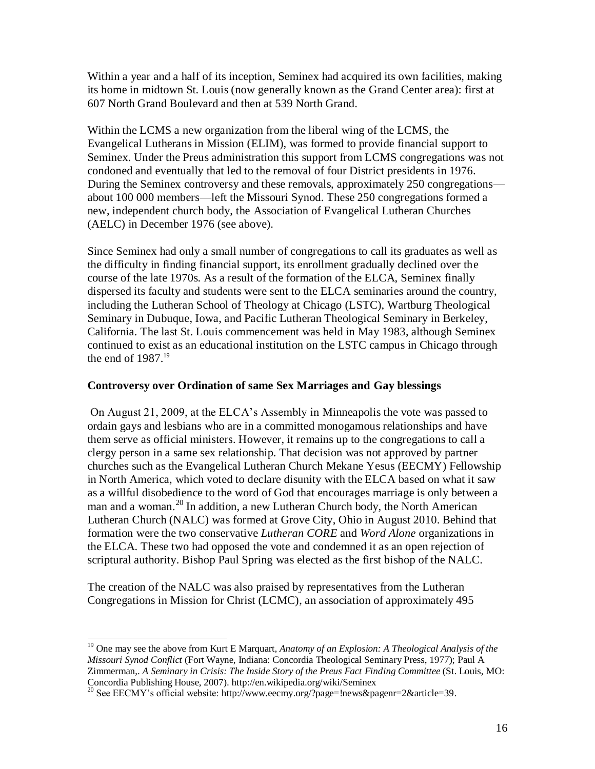Within a year and a half of its inception, Seminex had acquired its own facilities, making its home in midtown St. Louis (now generally known as the Grand Center area): first at 607 North Grand Boulevard and then at 539 North Grand.

Within the LCMS a new organization from the liberal wing of the LCMS, the Evangelical Lutherans in Mission (ELIM), was formed to provide financial support to Seminex. Under the Preus administration this support from LCMS congregations was not condoned and eventually that led to the removal of four District presidents in 1976. During the Seminex controversy and these removals, approximately 250 congregations about 100 000 members—left the Missouri Synod. These 250 congregations formed a new, independent church body, the Association of Evangelical Lutheran Churches (AELC) in December 1976 (see above).

Since Seminex had only a small number of congregations to call its graduates as well as the difficulty in finding financial support, its enrollment gradually declined over the course of the late 1970s. As a result of the formation of the ELCA, Seminex finally dispersed its faculty and students were sent to the ELCA seminaries around the country, including the Lutheran School of Theology at Chicago (LSTC), Wartburg Theological Seminary in Dubuque, Iowa, and Pacific Lutheran Theological Seminary in Berkeley, California. The last St. Louis commencement was held in May 1983, although Seminex continued to exist as an educational institution on the LSTC campus in Chicago through the end of  $1987.<sup>19</sup>$ 

#### **Controversy over Ordination of same Sex Marriages and Gay blessings**

On August 21, 2009, at the ELCA's Assembly in Minneapolis the vote was passed to ordain gays and lesbians who are in a committed monogamous relationships and have them serve as official ministers. However, it remains up to the congregations to call a clergy person in a same sex relationship. That decision was not approved by partner churches such as the Evangelical Lutheran Church Mekane Yesus (EECMY) Fellowship in North America, which voted to declare disunity with the ELCA based on what it saw as a willful disobedience to the word of God that encourages marriage is only between a man and a woman.<sup>20</sup> In addition, a new Lutheran Church body, the North American Lutheran Church (NALC) was formed at Grove City, Ohio in August 2010. Behind that formation were the two conservative *Lutheran CORE* and *Word Alone* organizations in the ELCA. These two had opposed the vote and condemned it as an open rejection of scriptural authority. Bishop Paul Spring was elected as the first bishop of the NALC.

The creation of the NALC was also praised by representatives from the Lutheran Congregations in Mission for Christ (LCMC), an association of approximately 495

 <sup>19</sup> One may see the above from Kurt E Marquart, *Anatomy of an Explosion: A Theological Analysis of the Missouri Synod Conflict* (Fort Wayne, Indiana: Concordia Theological Seminary Press, 1977); Paul A Zimmerman,. *A Seminary in Crisis: The Inside Story of the Preus Fact Finding Committee* (St. Louis, MO: Concordia Publishing House, 2007). http://en.wikipedia.org/wiki/Seminex

<sup>&</sup>lt;sup>20</sup> See EECMY's official website: http://www.eecmy.org/?page=!news&pagenr=2&article=39.